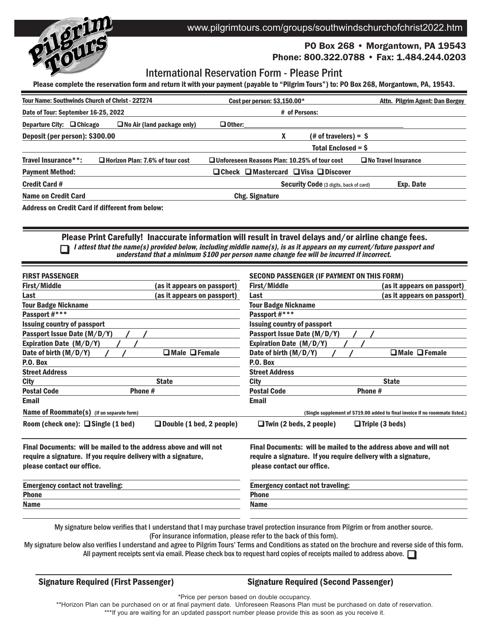

# www.pilgrimtours.com/groups/southwindschurchofchrist2022.htm

# PO Box 268 • Morgantown, PA 19543

# Phone: 800.322.0788 • Fax: 1.484.244.0203

# International Reservation Form - Please Print

Please complete the reservation form and return it with your payment (payable to "Pilgrim Tours") to: PO Box 268, Morgantown, PA, 19543.

| <b>Tour Name: Southwinds Church of Christ - 22T274</b> |                                                        | Cost per person: \$3,150.00*                               |                                        | Attn. Pilgrim Agent: Dan Bergey |
|--------------------------------------------------------|--------------------------------------------------------|------------------------------------------------------------|----------------------------------------|---------------------------------|
| Date of Tour: September 16-25, 2022                    |                                                        | # of Persons:                                              |                                        |                                 |
| Departure City: □ Chicago                              | $\Box$ No Air (land package only)                      | $\Box$ Other:                                              |                                        |                                 |
| Deposit (per person): \$300.00                         |                                                        | x                                                          | $#$ of travelers) = $\$$               |                                 |
|                                                        |                                                        |                                                            | <b>Total Enclosed = \$</b>             |                                 |
| Travel Insurance**:                                    | □ Horizon Plan: 7.6% of tour cost                      | □ Unforeseen Reasons Plan: 10.25% of tour cost             |                                        | $\Box$ No Travel Insurance      |
| <b>Payment Method:</b>                                 |                                                        | $\Box$ Check $\Box$ Mastercard $\Box$ Visa $\Box$ Discover |                                        |                                 |
| <b>Credit Card #</b>                                   |                                                        |                                                            | Security Code (3 digits, back of card) | Exp. Date                       |
| <b>Name on Credit Card</b>                             |                                                        | Chg. Signature                                             |                                        |                                 |
|                                                        | <b>Address on Credit Card if different from below:</b> |                                                            |                                        |                                 |

n Please Print Carefully! Inaccurate information will result in travel delays and/or airline change fees. I attest that the name(s) provided below, including middle name(s), is as it appears on my current/future passport and understand that <sup>a</sup> minimum \$100 per person name change fee will be incurred if incorrect.

| <b>FIRST PASSENGER</b>                                                                                                                                            |                                 | <b>SECOND PASSENGER (IF PAYMENT ON THIS FORM)</b>                                                                                                                 |                                                                               |  |
|-------------------------------------------------------------------------------------------------------------------------------------------------------------------|---------------------------------|-------------------------------------------------------------------------------------------------------------------------------------------------------------------|-------------------------------------------------------------------------------|--|
| First/Middle                                                                                                                                                      | (as it appears on passport)     | First/Middle                                                                                                                                                      | (as it appears on passport)                                                   |  |
| Last                                                                                                                                                              | (as it appears on passport)     | Last                                                                                                                                                              | (as it appears on passport)                                                   |  |
| <b>Tour Badge Nickname</b>                                                                                                                                        |                                 | <b>Tour Badge Nickname</b>                                                                                                                                        |                                                                               |  |
| Passport #***                                                                                                                                                     |                                 | Passport #***                                                                                                                                                     |                                                                               |  |
| <b>Issuing country of passport</b>                                                                                                                                |                                 | <b>Issuing country of passport</b>                                                                                                                                |                                                                               |  |
| Passport Issue Date (M/D/Y)                                                                                                                                       |                                 | Passport Issue Date (M/D/Y)                                                                                                                                       |                                                                               |  |
| Expiration Date (M/D/Y)                                                                                                                                           |                                 | Expiration Date (M/D/Y)                                                                                                                                           |                                                                               |  |
| Date of birth $(M/D/Y)$                                                                                                                                           | $\Box$ Male $\Box$ Female       | Date of birth $(M/D/Y)$                                                                                                                                           | $\Box$ Male $\Box$ Female                                                     |  |
| P.O. Box                                                                                                                                                          |                                 | P.O. Box                                                                                                                                                          |                                                                               |  |
| <b>Street Address</b>                                                                                                                                             |                                 | <b>Street Address</b>                                                                                                                                             |                                                                               |  |
| <b>City</b>                                                                                                                                                       | <b>State</b>                    | City                                                                                                                                                              | <b>State</b>                                                                  |  |
| <b>Postal Code</b><br>Phone #                                                                                                                                     |                                 | <b>Postal Code</b><br>Phone #                                                                                                                                     |                                                                               |  |
| Email                                                                                                                                                             |                                 | <b>Email</b>                                                                                                                                                      |                                                                               |  |
| Name of Roommate(s) (if on separate form)                                                                                                                         |                                 |                                                                                                                                                                   | (Single supplement of \$719.00 added to final invoice if no roommate listed.) |  |
| Room (check one): $\Box$ Single (1 bed)                                                                                                                           | $\Box$ Double (1 bed, 2 people) | $\Box$ Twin (2 beds, 2 people)                                                                                                                                    | $\Box$ Triple (3 beds)                                                        |  |
| Final Documents: will be mailed to the address above and will not<br>require a signature. If you require delivery with a signature,<br>please contact our office. |                                 | Final Documents: will be mailed to the address above and will not<br>require a signature. If you require delivery with a signature,<br>please contact our office. |                                                                               |  |
| <b>Emergency contact not traveling:</b>                                                                                                                           |                                 | <b>Emergency contact not traveling:</b>                                                                                                                           |                                                                               |  |
| <b>Phone</b>                                                                                                                                                      |                                 | <b>Phone</b>                                                                                                                                                      |                                                                               |  |
| <b>Name</b>                                                                                                                                                       |                                 | <b>Name</b>                                                                                                                                                       |                                                                               |  |
|                                                                                                                                                                   |                                 |                                                                                                                                                                   |                                                                               |  |

My signature below verifies that I understand that I may purchase travel protection insurance from Pilgrim or from another source. (For insurance information, please refer to the back of this form).

All payment receipts sent via email. Please check box to request hard copies of receipts mailed to address above.  $\Box$ My signature below also verifies I understand and agree to Pilgrim Tours' Terms and Conditions as stated on the brochure and reverse side of this form.

Signature Required (First Passenger) Signature Required (Second Passenger)

\*Price per person based on double occupancy.

\*\*Horizon Plan can be purchased on or at final payment date. Unforeseen Reasons Plan must be purchased on date of reservation. \*\*\*If you are waiting for an updated passport number please provide this as soon as you receive it.